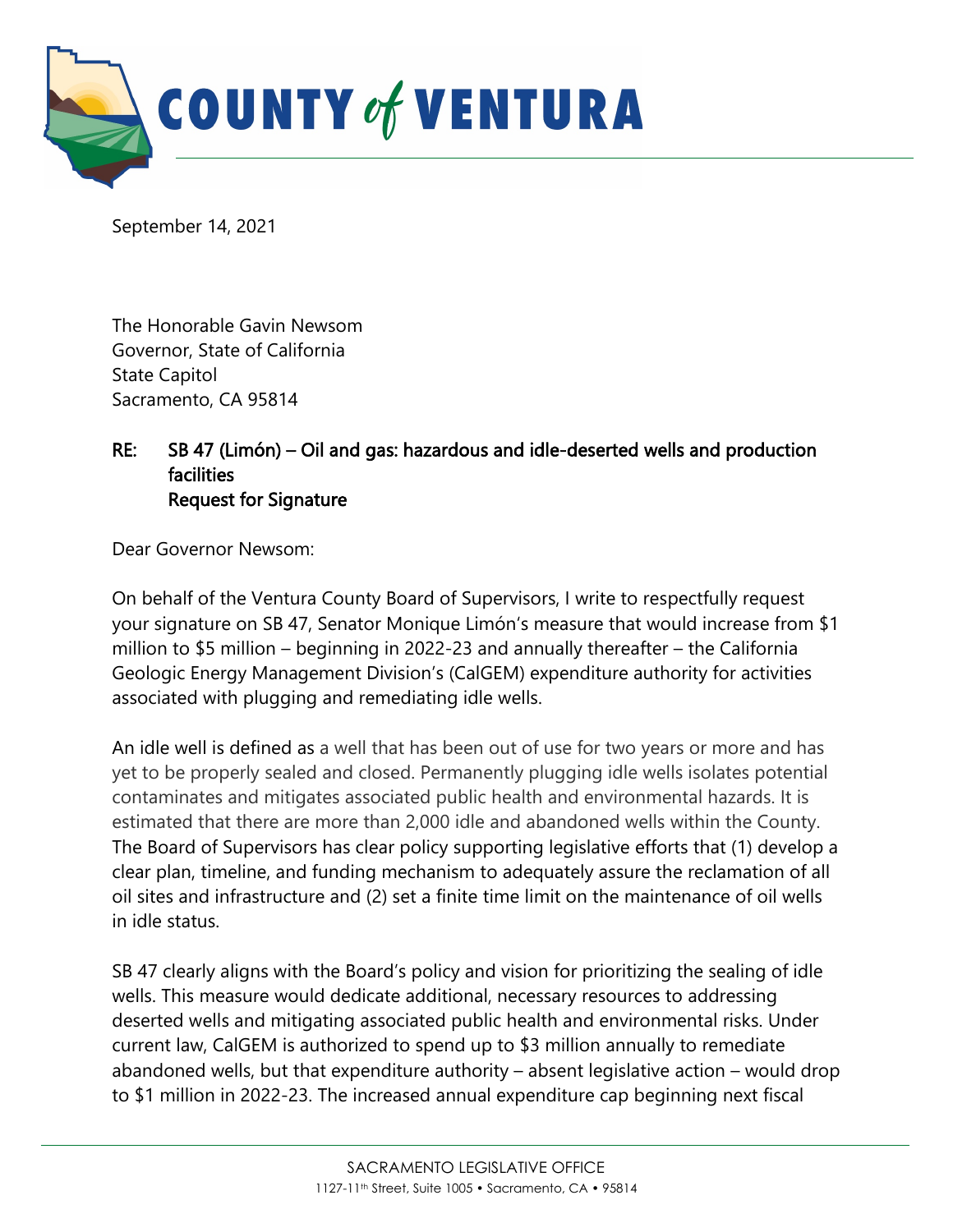

September 14, 2021

The Honorable Gavin Newsom Governor, State of California State Capitol Sacramento, CA 95814

## RE: SB 47 (Limón) – Oil and gas: hazardous and idle-deserted wells and production **facilities** Request for Signature

Dear Governor Newsom:

On behalf of the Ventura County Board of Supervisors, I write to respectfully request your signature on SB 47, Senator Monique Limón's measure that would increase from \$1 million to \$5 million – beginning in 2022-23 and annually thereafter – the California Geologic Energy Management Division's (CalGEM) expenditure authority for activities associated with plugging and remediating idle wells.

An idle well is defined as a well that has been out of use for two years or more and has yet to be properly sealed and closed. Permanently plugging idle wells isolates potential contaminates and mitigates associated public health and environmental hazards. It is estimated that there are more than 2,000 idle and abandoned wells within the County. The Board of Supervisors has clear policy supporting legislative efforts that (1) develop a clear plan, timeline, and funding mechanism to adequately assure the reclamation of all oil sites and infrastructure and (2) set a finite time limit on the maintenance of oil wells in idle status.

SB 47 clearly aligns with the Board's policy and vision for prioritizing the sealing of idle wells. This measure would dedicate additional, necessary resources to addressing deserted wells and mitigating associated public health and environmental risks. Under current law, CalGEM is authorized to spend up to \$3 million annually to remediate abandoned wells, but that expenditure authority – absent legislative action – would drop to \$1 million in 2022-23. The increased annual expenditure cap beginning next fiscal